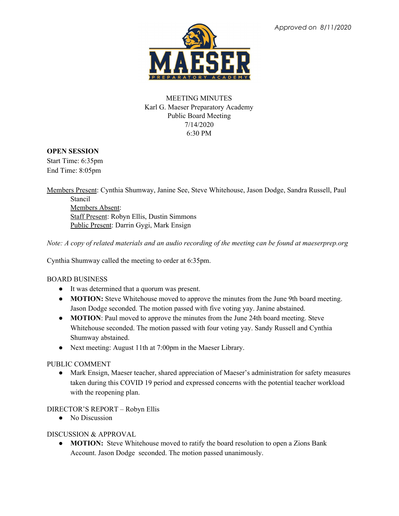

# MEETING MINUTES Karl G. Maeser Preparatory Academy Public Board Meeting 7/14/2020 6:30 PM

### **OPEN SESSION**

Start Time: 6:35pm End Time: 8:05pm

Members Present: Cynthia Shumway, Janine See, Steve Whitehouse, Jason Dodge, Sandra Russell, Paul Stancil Members Absent: Staff Present: Robyn Ellis, Dustin Simmons Public Present: Darrin Gygi, Mark Ensign

Note: A copy of related materials and an audio recording of the meeting can be found at maeserprep.org

Cynthia Shumway called the meeting to order at 6:35pm.

#### BOARD BUSINESS

- It was determined that a quorum was present.
- **MOTION:** Steve Whitehouse moved to approve the minutes from the June 9th board meeting. Jason Dodge seconded. The motion passed with five voting yay. Janine abstained.
- **MOTION**: Paul moved to approve the minutes from the June 24th board meeting. Steve Whitehouse seconded. The motion passed with four voting yay. Sandy Russell and Cynthia Shumway abstained.
- Next meeting: August 11th at 7:00pm in the Maeser Library.

# PUBLIC COMMENT

• Mark Ensign, Maeser teacher, shared appreciation of Maeser's administration for safety measures taken during this COVID 19 period and expressed concerns with the potential teacher workload with the reopening plan.

# DIRECTOR'S REPORT – Robyn Ellis

• No Discussion

#### DISCUSSION & APPROVAL

• **MOTION:** Steve Whitehouse moved to ratify the board resolution to open a Zions Bank Account. Jason Dodge seconded. The motion passed unanimously.